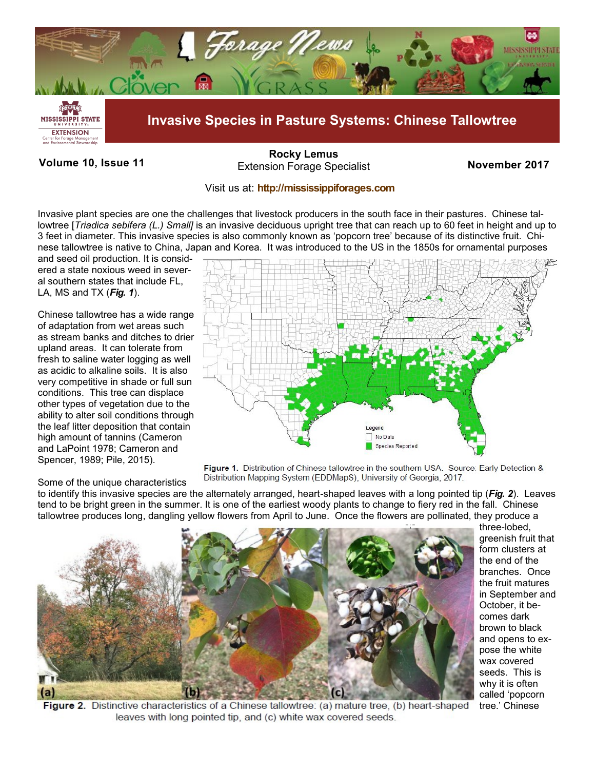

# **Volume 10, Issue 11 November 2017** Extension Forage Specialist **[Rocky Lemus](mailto:RLemus@ext.msstate.edu?subject=Forage%20News:%20Janaury%202011)**

## Visit us at: **<http://mississippiforages.com>**

Invasive plant species are one the challenges that livestock producers in the south face in their pastures. Chinese tallowtree [*Triadica sebifera (L.) Small]* is an invasive deciduous upright tree that can reach up to 60 feet in height and up to 3 feet in diameter. This invasive species is also commonly known as 'popcorn tree' because of its distinctive fruit. Chinese tallowtree is native to China, Japan and Korea. It was introduced to the US in the 1850s for ornamental purposes

and seed oil production. It is considered a state noxious weed in several southern states that include FL, LA, MS and TX (*Fig. 1*).

Chinese tallowtree has a wide range of adaptation from wet areas such as stream banks and ditches to drier upland areas. It can tolerate from fresh to saline water logging as well as acidic to alkaline soils. It is also very competitive in shade or full sun conditions. This tree can displace other types of vegetation due to the ability to alter soil conditions through the leaf litter deposition that contain high amount of tannins (Cameron and LaPoint 1978; Cameron and Spencer, 1989; Pile, 2015).

### Some of the unique characteristics



Figure 1. Distribution of Chinese tallowtree in the southern USA. Source: Early Detection & Distribution Mapping System (EDDMapS), University of Georgia, 2017.

to identify this invasive species are the alternately arranged, heart-shaped leaves with a long pointed tip (*Fig. 2*). Leaves tend to be bright green in the summer. It is one of the earliest woody plants to change to fiery red in the fall. Chinese tallowtree produces long, dangling yellow flowers from April to June. Once the flowers are pollinated, they produce a



three-lobed, greenish fruit that form clusters at the end of the branches. Once the fruit matures in September and October, it becomes dark brown to black and opens to expose the white wax covered seeds. This is why it is often called 'popcorn tree.' Chinese

Figure 2. Distinctive characteristics of a Chinese tallowtree: (a) mature tree, (b) heart-shaped leaves with long pointed tip, and (c) white wax covered seeds.